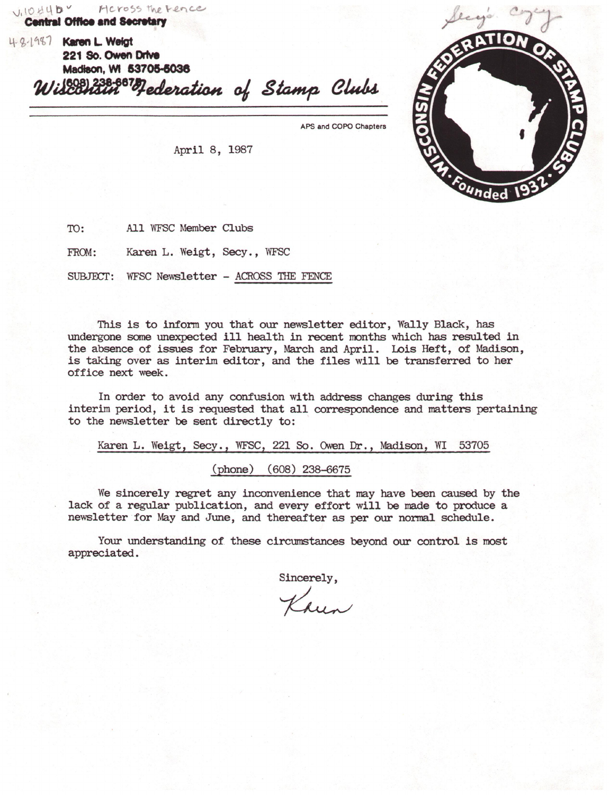$\bigcup_{i} 10 44 \mathsf{B}$  *H* cross the Fence **Central Offloe and lecnlar,** 

L\-9:,-l&i<&1 **Knn L Welgt 221 so. Owen Dr1Ye Madieon, WI 53705-8038 consul <sup>238-867</sup> decleration of Stamp Clubs** 

APS and COPO Chapters

Secyo

4. Founded

April 8, 1987

TO: All WFSC Member Clubs

FROM: Karen L. Weigt, Secy., WFSC

SUBJECr: WFSC Newsletter - ACROSS THE FENCE

This is to infonn you that our newsletter editor, Wally Black, has undergone some unexpected ill health in recent months which has resulted in the absence of issues for February, March and April. Lois Heft, of Madison, is taking over as interim editor, and the files will be transferred to her office next week.

In order to avoid any confusion with address changes during this interim period, it is requested that all correspondence and matters pertaining to the newsletter be sent directly to:

Karen L. Weigt, Secy., WFSC, 221 So. Owen Dr., Madison, WI 53705 (phone) (608) 238-6675

We sincerely regret any inconvenience that may have been caused by the lack of a regular publication, and every effort will be made to produce a newsletter for May and June, and thereafter as per our nonnal schedule.

Your understanding of these circumstances beyond our control is most appreciated.

> Sincerely, Sincerely,<br>Khun